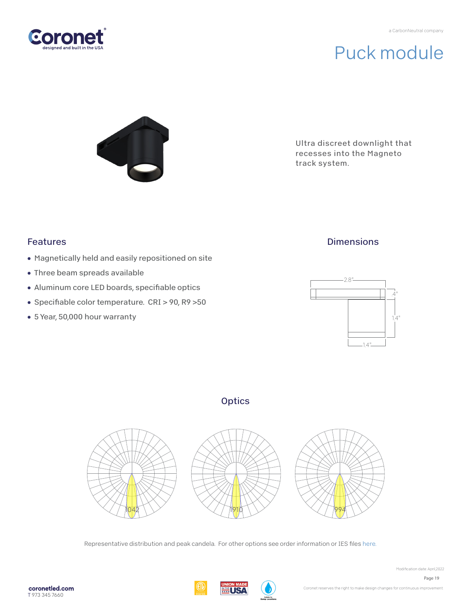

# Puck module



Ultra discreet downlight that recesses into the Magneto track system.

#### Features

- Magnetically held and easily repositioned on site
- Three beam spreads available
- Aluminum core LED boards, specifiable optics
- Specifiable color temperature. CRI > 90, R9 >50
- 5 Year, 50,000 hour warranty

## **Dimensions**



### **Optics**



Representative distribution and peak candela. For other options see order information or IES files here.

**WILS!**